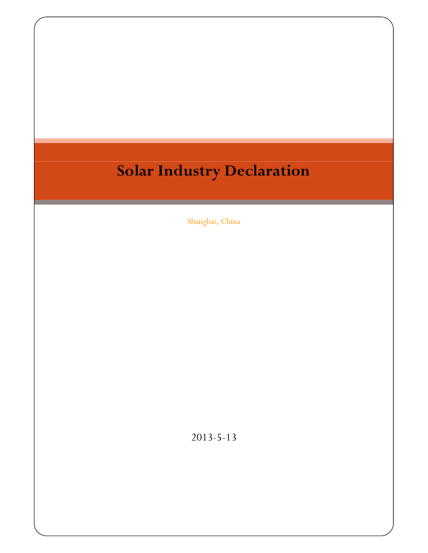## **Solar Industry Declaration**

Shanghai, China

2013-5-13